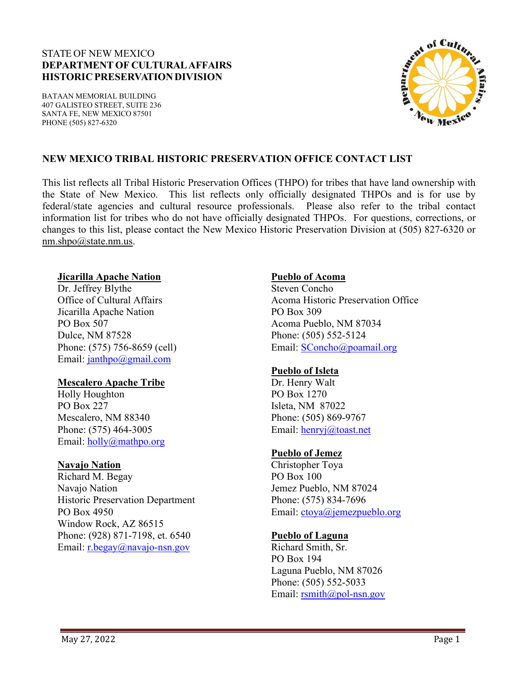## STATE OF NEW MEXICO **DEPARTMENT OF CULTURALAFFAIRS HISTORICPRESERVATIONDIVISION**

BATAAN MEMORIAL BUILDING 407 GALISTEO STREET, SUITE 236 SANTA FE, NEW MEXICO 87501 PHONE (505) 827-6320



## **NEW MEXICO TRIBAL HISTORIC PRESERVATION OFFICE CONTACT LIST**

This list reflects all Tribal Historic Preservation Offices (THPO) for tribes that have land ownership with the State of New Mexico. This list reflects only officially designated THPOs and is for use by federal/state agencies and cultural resource professionals. Please also refer to the tribal contact information list for tribes who do not have officially designated THPOs. For questions, corrections, or changes to this list, please contact the New Mexico Historic Preservation Division at (505) 827-6320 or [nm.shpo@state.nm.us.](mailto:nm.shpo@state.nm.us)

#### **Jicarilla Apache Nation**

Dr. Jeffrey Blythe Office of Cultural Affairs Jicarilla Apache Nation PO Box 507 Dulce, NM 87528 Phone: (575) 756-8659 (cell) Email: [janthpo@gmail.com](mailto:janthpo@gmail.com)

### **Mescalero Apache Tribe**

Holly Houghton PO Box 227 Mescalero, NM 88340 Phone: (575) 464-3005 Email: [holly@mathpo.org](mailto:holly@mathpo.org)

### **Navajo Nation**

Richard M. Begay Navajo Nation Historic Preservation Department PO Box 4950 Window Rock, AZ 86515 Phone: (928) 871-7198, et. 6540 Email: [r.begay@navajo-nsn.gov](mailto:r.begay@navajo-nsn.gov)

### **Pueblo of Acoma**

Steven Concho Acoma Historic Preservation Office PO Box 309 Acoma Pueblo, NM 87034 Phone: (505) 552-5124 Email: [SConcho@poamail.org](mailto:SConcho@poamail.org)

### **Pueblo of Isleta**

Dr. Henry Walt PO Box 1270 Isleta, NM 87022 Phone: (505) 869-9767 Email: [henryj@toast.net](mailto:henryj@toast.net)

## **Pueblo of Jemez**

Christopher Toya PO Box 100 Jemez Pueblo, NM 87024 Phone: (575) 834-7696 Email: [ctoya@jemezpueblo.org](mailto:ctoya@jemezpueblo.org)

## **Pueblo of Laguna**

Richard Smith, Sr. PO Box 194 Laguna Pueblo, NM 87026 Phone: (505) 552-5033 Email: [rsmith@pol-nsn.gov](mailto:rsmith@pol-nsn.gov)